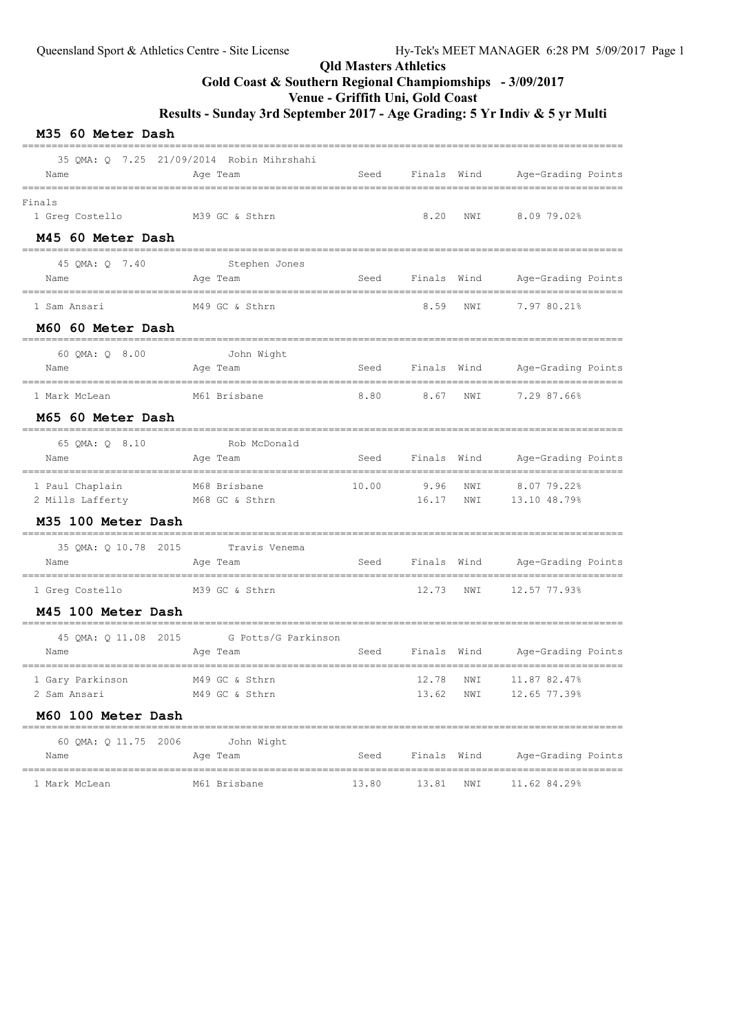## Qld Masters Athletics Gold Coast & Southern Regional Champiomships - 3/09/2017

Venue - Griffith Uni, Gold Coast

Results - Sunday 3rd September 2017 - Age Grading: 5 Yr Indiv & 5 yr Multi

| M35 60 Meter Dash |  |  |
|-------------------|--|--|
|-------------------|--|--|

|                                          | 35 OMA: 0 7.25 21/09/2014 Robin Mihrshahi    |       |             |     |                                |
|------------------------------------------|----------------------------------------------|-------|-------------|-----|--------------------------------|
| Name                                     | Age Team                                     | Seed  |             |     | Finals Wind Age-Grading Points |
| Finals<br>1 Greg Costello M39 GC & Sthrn |                                              |       | 8.20        | NWI | 8.0979.02%                     |
| M45 60 Meter Dash                        |                                              |       |             |     |                                |
| 45 QMA: Q 7.40<br>Name                   | Stephen Jones<br>Age Team                    | Seed  |             |     | Finals Wind Age-Grading Points |
| 1 Sam Ansari                             | M49 GC & Sthrn                               |       | 8.59        | NWI | 7.97 80.21%                    |
| M60 60 Meter Dash                        |                                              |       |             |     |                                |
| 60 QMA: Q 8.00                           | ----------------------------<br>John Wight   |       |             |     |                                |
| Name                                     | Age Team                                     | Seed  | Finals Wind |     | Age-Grading Points             |
| 1 Mark McLean                            | M61 Brisbane                                 | 8.80  | 8.67        | NWI | 7.29 87.66%                    |
| M65 60 Meter Dash                        | ----------------                             |       |             |     |                                |
| 65 OMA: 0 8.10<br>Name                   | Rob McDonald<br>Age Team                     | Seed  | Finals Wind |     | Age-Grading Points             |
| 1 Paul Chaplain                          | M68 Brisbane                                 | 10.00 | 9.96        | NWI | 8.07 79.22%                    |
| 2 Mills Lafferty M68 GC & Sthrn          |                                              |       | 16.17 NWI   |     | 13.10 48.79%                   |
| M35 100 Meter Dash                       |                                              |       |             |     |                                |
| 35 QMA: Q 10.78 2015<br>Name             | Travis Venema<br>Age Team                    | Seed  | Finals Wind |     | Age-Grading Points             |
| 1 Greg Costello                          | M39 GC & Sthrn                               |       | 12.73       | NWI | 12.57 77.93%                   |
| M45 100 Meter Dash                       |                                              |       |             |     |                                |
| 45 QMA: Q 11.08 2015<br>Name             | =========<br>G Potts/G Parkinson<br>Age Team | Seed  | Finals Wind |     | Age-Grading Points             |
| 1 Gary Parkinson                         | M49 GC & Sthrn                               |       | 12.78       | NWI | 11.87 82.47%                   |
| 2 Sam Ansari                             | M49 GC & Sthrn                               |       | 13.62       | NWI | 12.65 77.39%                   |
| M60 100 Meter Dash                       |                                              |       |             |     |                                |
| 60 QMA: Q 11.75 2006<br>Name             | John Wight<br>Age Team                       | Seed  | Finals Wind |     | Age-Grading Points             |
| 1 Mark McLean                            | M61 Brisbane                                 | 13.80 | 13.81       | NWI | 11.62 84.29%                   |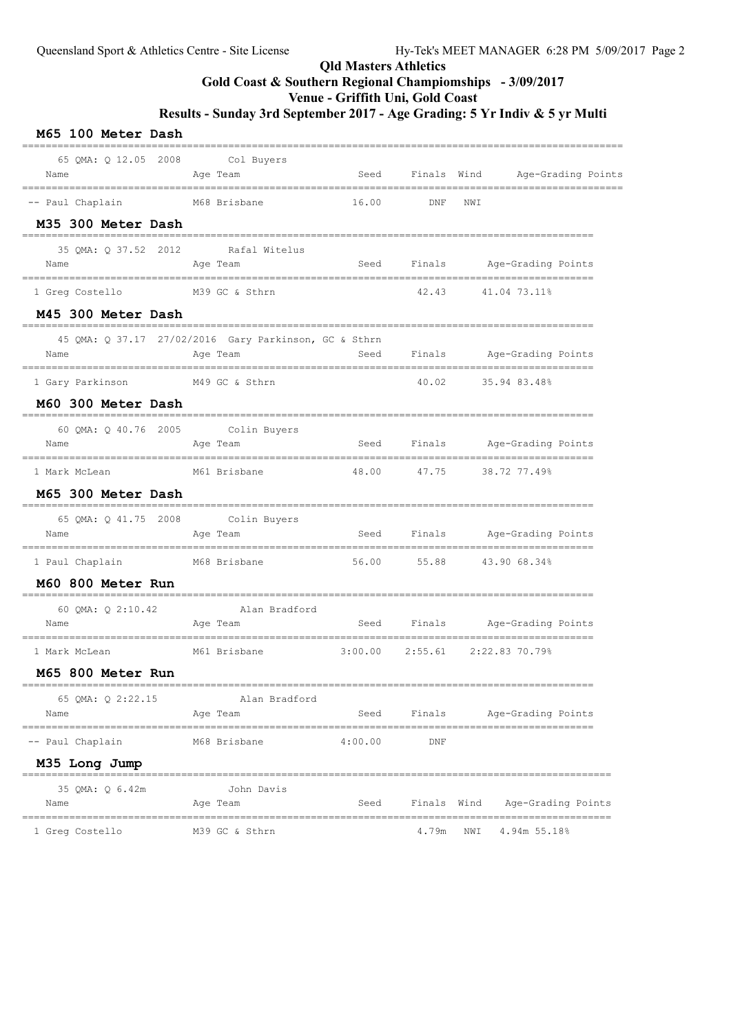## Qld Masters Athletics Gold Coast & Southern Regional Champiomships - 3/09/2017 Venue - Griffith Uni, Gold Coast Results - Sunday 3rd September 2017 - Age Grading: 5 Yr Indiv & 5 yr Multi

#### M65 100 Meter Dash ====================================================================================================== 65 QMA: Q 12.05 2008 Col Buyers Name **Age Team** Age Team Seed Finals Wind Age-Grading Points ====================================================================================================== -- Paul Chaplain M68 Brisbane 16.00 DNF NWI M35 300 Meter Dash ================================================================================================= 35 QMA: Q 37.52 2012 Rafal Witelus Name Age Team Seed Finals Age-Grading Points ================================================================================================= 1 Greg Costello M39 GC & Sthrn 42.43 41.04 73.11% M45 300 Meter Dash ================================================================================================= 45 QMA: Q 37.17 27/02/2016 Gary Parkinson, GC & Sthrn Name Age Team Seed Finals Age-Grading Points ================================================================================================= 1 Gary Parkinson M49 GC & Sthrn 40.02 35.94 83.48% M60 300 Meter Dash ================================================================================================= 60 QMA: Q 40.76 2005 Colin Buyers Name **Age Team** Age Team Seed Finals Age-Grading Points ================================================================================================= 1 Mark McLean M61 Brisbane 48.00 47.75 38.72 77.49% M65 300 Meter Dash ================================================================================================= 65 QMA: Q 41.75 2008 Colin Buyers Name **Age Team** Seed Finals Age-Grading Points ================================================================================================= 1 Paul Chaplain M68 Brisbane 56.00 55.88 43.90 68.34% M60 800 Meter Run ================================================================================================= =================------<br>60 QMA: Q 2:10.42 Alan Bradford<br>Age Team Name Age Team Seed Finals Age-Grading Points ================================================================================================= 1 Mark McLean M61 Brisbane 3:00.00 2:55.61 2:22.83 70.79% M65 800 Meter Run ================================================================================================= 65 QMA: Q 2:22.15 Alan Bradford Name Age Team Age Team Seed Finals Age-Grading Points ================================================================================================= -- Paul Chaplain M68 Brisbane 4:00.00 DNF M35 Long Jump ==================================================================================================== 35 QMA: Q 6.42m John Davis Name and Age Team Seed Finals Wind Age-Grading Points ==================================================================================================== 1 Greg Costello M39 GC & Sthrn 4.79m NWI 4.94m 55.18%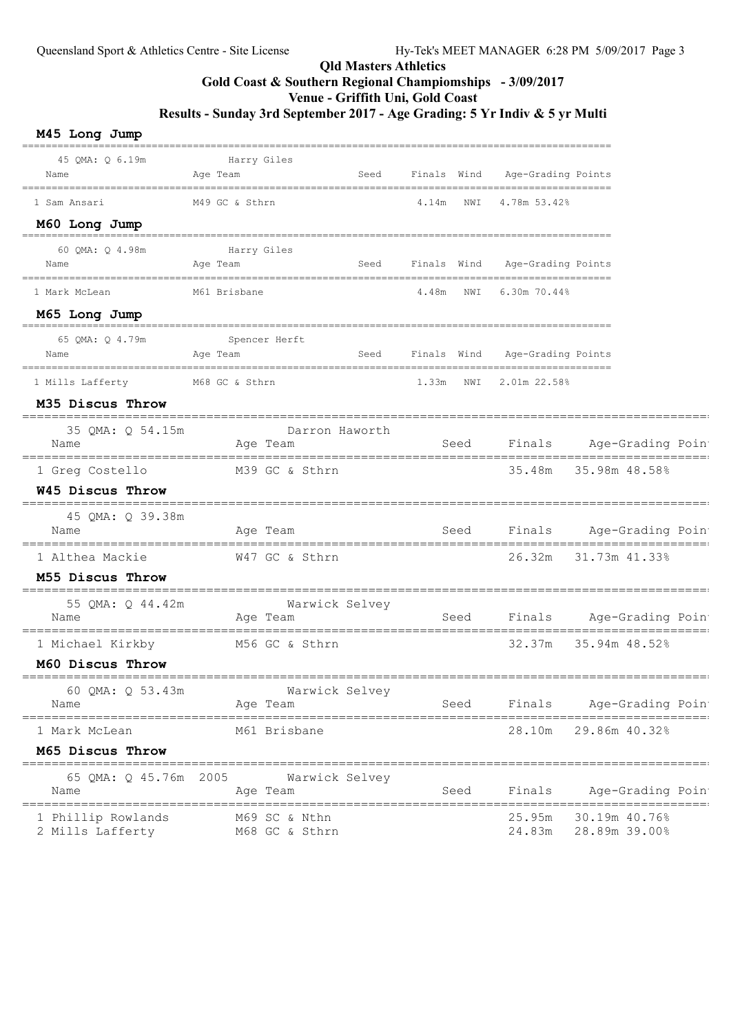## Qld Masters Athletics Gold Coast & Southern Regional Champiomships - 3/09/2017 Venue - Griffith Uni, Gold Coast Results - Sunday 3rd September 2017 - Age Grading: 5 Yr Indiv & 5 yr Multi

#### M45 Long Jump ==================================================================================================== 45 QMA: Q 6.19m Harry Giles Name Age Team Seed Finals Wind Age-Grading Points ==================================================================================================== 1 Sam Ansari M49 GC & Sthrn 4.14m NWI 4.78m 53.42% M60 Long Jump ==================================================================================================== 60 QMA: Q 4.98m Harry Giles Name Age Team Seed Finals Wind Age-Grading Points ==================================================================================================== 1 Mark McLean M61 Brisbane 4.48m NWI 6.30m 70.44% M65 Long Jump ==================================================================================================== 65 QMA: Q 4.79m Spencer Herft Name Age Team Seed Finals Wind Age-Grading Points ==================================================================================================== 1 Mills Lafferty M68 GC & Sthrn 1.33m NWI 2.01m 22.58% M35 Discus Throw =============================================================================================== 35 QMA: Q 54.15m Darron Haworth Name Age Team Seed Finals Age-Grading Point =============================================================================================== 1 Greg Costello M39 GC & Sthrn 35.48m 35.98m 48.58% W45 Discus Throw =============================================================================================== 45 QMA: Q 39.38m Name More Team Age Team Seed Finals Age-Grading Point =============================================================================================== 1 Althea Mackie W47 GC & Sthrn 26.32m 31.73m 41.33% M55 Discus Throw =============================================================================================== -----<br>55 QMA: Q 44.42m Wa:<br><sup>lame</sup> Age Team Name Age Team Seed Finals Age-Grading Points =============================================================================================== 1 Michael Kirkby M56 GC & Sthrn 32.37m 35.94m 48.52% M60 Discus Throw =============================================================================================== 60 QMA: Q 53.43m Warwick Selvey Name Age Team Seed Finals Age-Grading Point =============================================================================================== 1 Mark McLean M61 Brisbane 28.10m 29.86m 40.32% M65 Discus Throw =============================================================================================== 65 QMA: Q 45.76m 2005 Warwick Selvey Name Age Team Seed Finals Age-Grading Point =============================================================================================== 1 Phillip Rowlands M69 SC & Nthn 25.95m 30.19m 40.76% 2 Mills Lafferty M68 GC & Sthrn 24.83m 28.89m 39.00%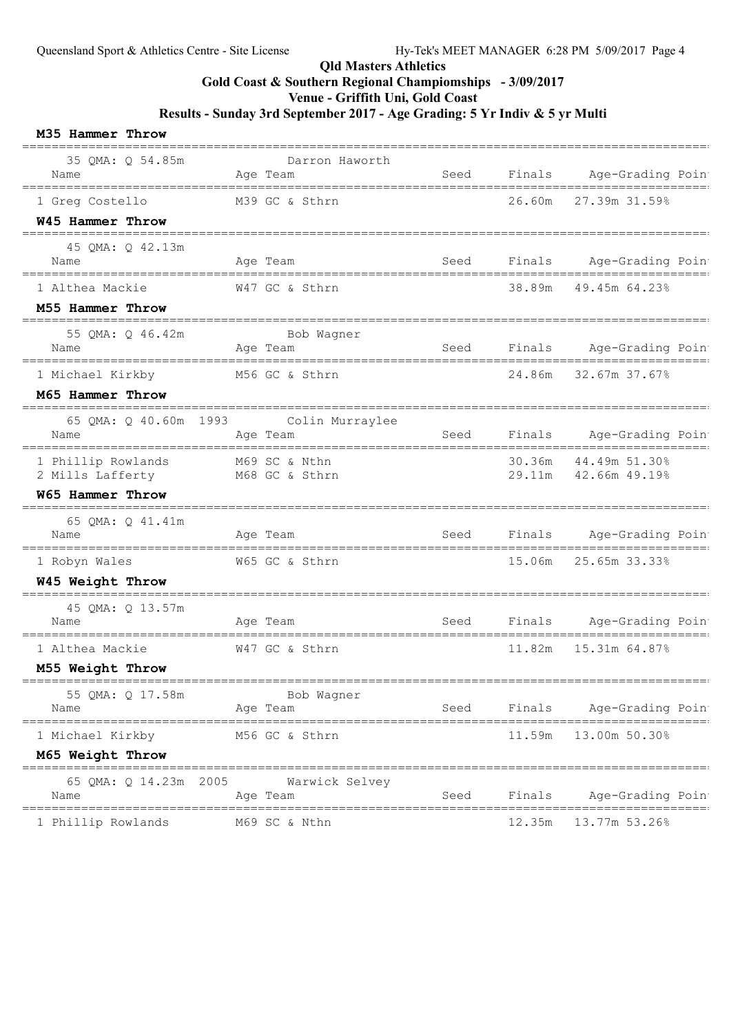## Qld Masters Athletics

# Gold Coast & Southern Regional Champiomships - 3/09/2017

Venue - Griffith Uni, Gold Coast

Results - Sunday 3rd September 2017 - Age Grading: 5 Yr Indiv & 5 yr Multi

#### M35 Hammer Throw

| 35 QMA: Q 54.85m<br>Name                                       | Darron Haworth<br>Age Team                          | Seed                          |        | Finals Age-Grading Poin                           |
|----------------------------------------------------------------|-----------------------------------------------------|-------------------------------|--------|---------------------------------------------------|
| 1 Greg Costello<br>W45 Hammer Throw                            | M39 GC & Sthrn                                      |                               | 26.60m | ==========================<br>27.39m 31.59%       |
| 45 QMA: Q 42.13m                                               |                                                     |                               |        |                                                   |
| Name                                                           | Age Team                                            | Seed                          |        | Finals Age-Grading Poin<br>---------------------- |
| 1 Althea Mackie                                                | W47 GC & Sthrn                                      |                               | 38.89m | 49.45m 64.23%                                     |
| M55 Hammer Throw                                               |                                                     |                               |        |                                                   |
| 55 QMA: Q 46.42m<br>Name                                       | Bob Waqner<br>Age Team                              | Seed                          | Finals | Age-Grading Poin<br>___________________________   |
| 1 Michael Kirkby                                               | M56 GC & Sthrn                                      |                               |        | 24.86m 32.67m 37.67%                              |
| M65 Hammer Throw                                               |                                                     |                               |        |                                                   |
| Name                                                           | 65 QMA: Q 40.60m 1993 Colin Murraylee<br>Age Team   | Seed                          | Finals | Age-Grading Poin                                  |
| 1 Phillip Rowlands<br>2 Mills Lafferty                         | M69 SC & Nthn<br>M68 GC & Sthrn                     |                               | 30.36m | 44.49m 51.30%<br>29.11m 42.66m 49.19%             |
| <b>W65 Hammer Throw</b><br>;================================== |                                                     |                               |        |                                                   |
| 65 QMA: Q 41.41m<br>Name                                       | Age Team                                            | <b>Seed</b>                   | Finals | Age-Grading Poin                                  |
| 1 Robyn Wales                                                  | W65 GC & Sthrn                                      |                               | 15.06m | 25.65m 33.33%                                     |
| W45 Weight Throw                                               | _______________                                     |                               |        |                                                   |
| 45 QMA: Q 13.57m<br>Name                                       | Age Team                                            | Seed                          | Finals | Age-Grading Poin                                  |
| 1 Althea Mackie                                                | W47 GC & Sthrn                                      |                               | 11.82m | 15.31m 64.87%                                     |
| M55 Weight Throw                                               |                                                     |                               |        |                                                   |
| 55 QMA: Q 17.58m<br>Name                                       | Bob Wagner<br>Age Team                              | Seed                          | Finals | Age-Grading Poin                                  |
| __________________________________<br>1 Michael Kirkby         | =================================<br>M56 GC & Sthrn |                               | 11.59m | ========================<br>13.00m 50.30%         |
| M65 Weight Throw                                               |                                                     | ============================= |        |                                                   |
| 65 QMA: Q 14.23m 2005<br>Name                                  | Warwick Selvey<br>Age Team                          | Seed                          | Finals | Age-Grading Poin                                  |
| 1 Phillip Rowlands                                             | M69 SC & Nthn                                       |                               | 12.35m | 13.77m 53.26%                                     |